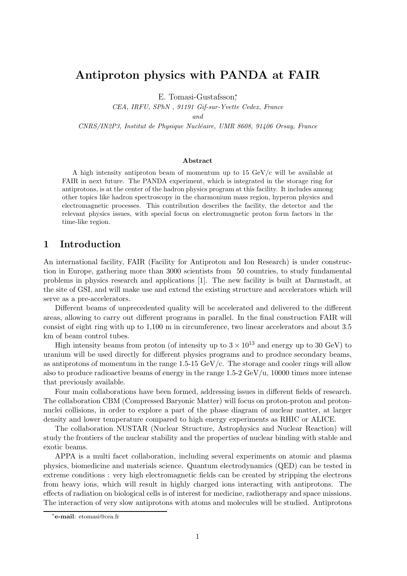# Antiproton physics with PANDA at FAIR

E. Tomasi-Gustafsson<sup>\*</sup>,

CEA, IRFU, SPhN , 91191 Gif-sur-Yvette Cedex, France

and

CNRS/IN2P3, Institut de Physique Nucléaire, UMR 8608, 91406 Orsay, France

#### Abstract

A high intensity antiproton beam of momentum up to 15 GeV/c will be available at FAIR in next future. The PANDA experiment, which is integrated in the storage ring for antiprotons, is at the center of the hadron physics program at this facility. It includes among other topics like hadron spectroscopy in the charmonium mass region, hyperon physics and electromagnetic processes. This contribution describes the facility, the detector and the relevant physics issues, with special focus on electromagnetic proton form factors in the time-like region.

# 1 Introduction

An international facility, FAIR (Facility for Antiproton and Ion Research) is under construction in Europe, gathering more than 3000 scientists from 50 countries, to study fundamental problems in physics research and applications [1]. The new facility is built at Darmstadt, at the site of GSI, and will make use and extend the existing structure and accelerators which will serve as a pre-accelerators.

Different beams of unprecedented quality will be accelerated and delivered to the different areas, allowing to carry out different programs in parallel. In the final construction FAIR will consist of eight ring with up to 1,100 m in circumference, two linear accelerators and about 3.5 km of beam control tubes.

High intensity beams from proton (of intensity up to  $3 \times 10^{13}$  and energy up to 30 GeV) to uranium will be used directly for different physics programs and to produce secondary beams, as antiprotons of momentum in the range  $1.5{\text{-}}15 \text{ GeV/c}$ . The storage and cooler rings will allow also to produce radioactive beams of energy in the range  $1.5-2 \text{ GeV/u}$ , 10000 times more intense that previously available.

Four main collaborations have been formed, addressing issues in different fields of research. The collaboration CBM (Compressed Baryonic Matter) will focus on proton-proton and protonnuclei collisions, in order to explore a part of the phase diagram of nuclear matter, at larger density and lower temperature compared to high energy experiments as RHIC or ALICE.

The collaboration NUSTAR (Nuclear Structure, Astrophysics and Nuclear Reaction) will study the frontiers of the nuclear stability and the properties of nuclear binding with stable and exotic beams.

APPA is a multi facet collaboration, including several experiments on atomic and plasma physics, biomedicine and materials science. Quantum electrodynamics (QED) can be tested in extreme conditions : very high electromagnetic fields can be created by stripping the electrons from heavy ions, which will result in highly charged ions interacting with antiprotons. The effects of radiation on biological cells is of interest for medicine, radiotherapy and space missions. The interaction of very slow antiprotons with atoms and molecules will be studied. Antiprotons

<sup>∗</sup> e-mail: etomasi@cea.fr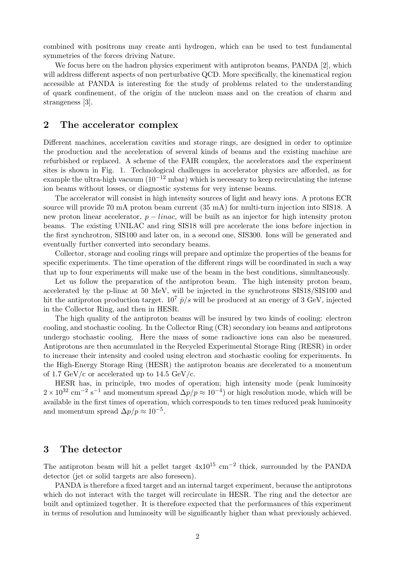combined with positrons may create anti hydrogen, which can be used to test fundamental symmetries of the forces driving Nature.

We focus here on the hadron physics experiment with antiproton beams, PANDA [2], which will address different aspects of non perturbative QCD. More specifically, the kinematical region accessible at PANDA is interesting for the study of problems related to the understanding of quark confinement, of the origin of the nucleon mass and on the creation of charm and strangeness [3].

### 2 The accelerator complex

Different machines, acceleration cavities and storage rings, are designed in order to optimize the production and the acceleration of several kinds of beams and the existing machine are refurbished or replaced. A scheme of the FAIR complex, the accelerators and the experiment sites is shown in Fig. 1. Technological challenges in accelerator physics are afforded, as for example the ultra-high vacuum  $(10^{-12} \text{ mbar})$  which is necessary to keep recirculating the intense ion beams without losses, or diagnostic systems for very intense beams.

The accelerator will consist in high intensity sources of light and heavy ions. A protons ECR source will provide 70 mA proton beam current (35 mA) for multi-turn injection into SIS18. A new proton linear accelerator,  $p - linac$ , will be built as an injector for high intensity proton beams. The existing UNILAC and ring SIS18 will pre accelerate the ions before injection in the first synchrotron, SIS100 and later on, in a second one, SIS300. Ions will be generated and eventually further converted into secondary beams.

Collector, storage and cooling rings will prepare and optimize the properties of the beams for specific experiments. The time operation of the different rings will be coordinated in such a way that up to four experiments will make use of the beam in the best conditions, simultaneously.

Let us follow the preparation of the antiproton beam. The high intensity proton beam, accelerated by the p-linac at 50 MeV, will be injected in the synchrotrons SIS18/SIS100 and hit the antiproton production target.  $10^7$   $\bar{p}/s$  will be produced at an energy of 3 GeV, injected in the Collector Ring, and then in HESR.

The high quality of the antiproton beams will be insured by two kinds of cooling: electron cooling, and stochastic cooling. In the Collector Ring (CR) secondary ion beams and antiprotons undergo stochastic cooling. Here the mass of some radioactive ions can also be measured. Antiprotons are then accumulated in the Recycled Experimental Storage Ring (RESR) in order to increase their intensity and cooled using electron and stochastic cooling for experiments. In the High-Energy Storage Ring (HESR) the antiproton beams are decelerated to a momentum of 1.7 GeV/c or accelerated up to 14.5 GeV/c.

HESR has, in principle, two modes of operation; high intensity mode (peak luminosity  $2 \times 10^{32}$  cm<sup>-2</sup> s<sup>-1</sup> and momentum spread  $\Delta p/p \approx 10^{-4}$ ) or high resolution mode, which will be available in the first times of operation, which corresponds to ten times reduced peak luminosity and momentum spread  $\Delta p/p \approx 10^{-5}$ .

# 3 The detector

The antiproton beam will hit a pellet target  $4x10^{15}$  cm<sup>-2</sup> thick, surrounded by the PANDA detector (jet or solid targets are also foreseen).

PANDA is therefore a fixed target and an internal target experiment, because the antiprotons which do not interact with the target will recirculate in HESR. The ring and the detector are built and optimized together. It is therefore expected that the performances of this experiment in terms of resolution and luminosity will be significantly higher than what previously achieved.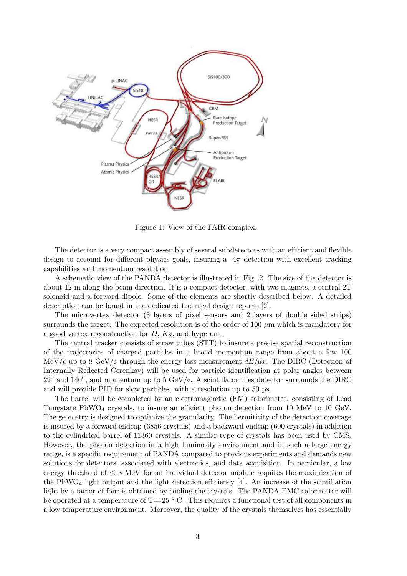

Figure 1: View of the FAIR complex.

The detector is a very compact assembly of several subdetectors with an efficient and flexible design to account for different physics goals, insuring a  $4\pi$  detection with excellent tracking capabilities and momentum resolution.

A schematic view of the PANDA detector is illustrated in Fig. 2. The size of the detector is about 12 m along the beam direction. It is a compact detector, with two magnets, a central 2T solenoid and a forward dipole. Some of the elements are shortly described below. A detailed description can be found in the dedicated technical design reports [2].

The microvertex detector (3 layers of pixel sensors and 2 layers of double sided strips) surrounds the target. The expected resolution is of the order of 100  $\mu$ m which is mandatory for a good vertex reconstruction for  $D, K_S$ , and hyperons.

The central tracker consists of straw tubes (STT) to insure a precise spatial reconstruction of the trajectories of charged particles in a broad momentum range from about a few 100 MeV/c up to 8 GeV/c through the energy loss measurement  $dE/dx$ . The DIRC (Detection of Internally Reflected Cerenkov) will be used for particle identification at polar angles between  $22^{\circ}$  and  $140^{\circ}$ , and momentum up to 5 GeV/c. A scintillator tiles detector surrounds the DIRC and will provide PID for slow particles, with a resolution up to 50 ps.

The barrel will be completed by an electromagnetic (EM) calorimeter, consisting of Lead Tungstate  $PbWO_4$  crystals, to insure an efficient photon detection from 10 MeV to 10 GeV. The geometry is designed to optimize the granularity. The hermiticity of the detection coverage is insured by a forward endcap (3856 crystals) and a backward endcap (600 crystals) in addition to the cylindrical barrel of 11360 crystals. A similar type of crystals has been used by CMS. However, the photon detection in a high luminosity environment and in such a large energy range, is a specific requirement of PANDA compared to previous experiments and demands new solutions for detectors, associated with electronics, and data acquisition. In particular, a low energy threshold of  $\leq 3$  MeV for an individual detector module requires the maximization of the  $PbWO<sub>4</sub>$  light output and the light detection efficiency [4]. An increase of the scintillation light by a factor of four is obtained by cooling the crystals. The PANDA EMC calorimeter will be operated at a temperature of  $T=25$   $\degree$  C. This requires a functional test of all components in a low temperature environment. Moreover, the quality of the crystals themselves has essentially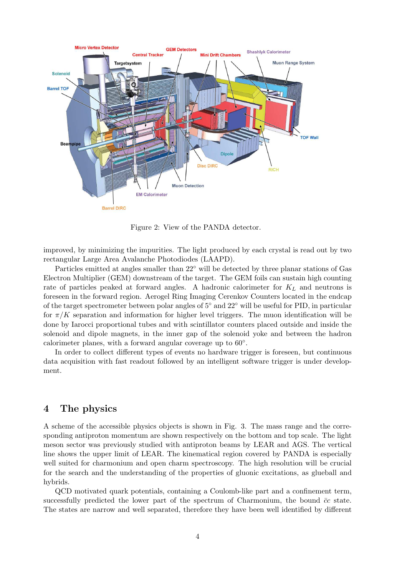

Figure 2: View of the PANDA detector.

improved, by minimizing the impurities. The light produced by each crystal is read out by two rectangular Large Area Avalanche Photodiodes (LAAPD).

Particles emitted at angles smaller than 22◦ will be detected by three planar stations of Gas Electron Multiplier (GEM) downstream of the target. The GEM foils can sustain high counting rate of particles peaked at forward angles. A hadronic calorimeter for  $K_L$  and neutrons is foreseen in the forward region. Aerogel Ring Imaging Cerenkov Counters located in the endcap of the target spectrometer between polar angles of 5◦ and 22◦ will be useful for PID, in particular for  $\pi/K$  separation and information for higher level triggers. The muon identification will be done by Iarocci proportional tubes and with scintillator counters placed outside and inside the solenoid and dipole magnets, in the inner gap of the solenoid yoke and between the hadron calorimeter planes, with a forward angular coverage up to 60°.

In order to collect different types of events no hardware trigger is foreseen, but continuous data acquisition with fast readout followed by an intelligent software trigger is under development.

### 4 The physics

A scheme of the accessible physics objects is shown in Fig. 3. The mass range and the corresponding antiproton momentum are shown respectively on the bottom and top scale. The light meson sector was previously studied with antiproton beams by LEAR and AGS. The vertical line shows the upper limit of LEAR. The kinematical region covered by PANDA is especially well suited for charmonium and open charm spectroscopy. The high resolution will be crucial for the search and the understanding of the properties of gluonic excitations, as glueball and hybrids.

QCD motivated quark potentials, containing a Coulomb-like part and a confinement term, successfully predicted the lower part of the spectrum of Charmonium, the bound  $\bar{c}c$  state. The states are narrow and well separated, therefore they have been well identified by different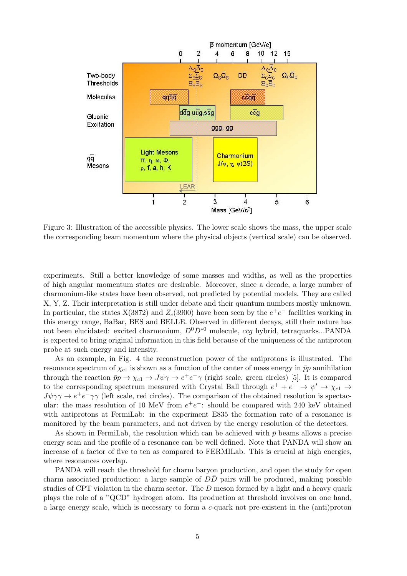

Figure 3: Illustration of the accessible physics. The lower scale shows the mass, the upper scale the corresponding beam momentum where the physical objects (vertical scale) can be observed.

experiments. Still a better knowledge of some masses and widths, as well as the properties of high angular momentum states are desirable. Moreover, since a decade, a large number of charmonium-like states have been observed, not predicted by potential models. They are called X, Y, Z. Their interpretation is still under debate and their quantum numbers mostly unknown. In particular, the states  $X(3872)$  and  $Z_c(3900)$  have been seen by the  $e^+e^-$  facilities working in this energy range, BaBar, BES and BELLE. Observed in different decays, still their nature has not been elucidated: excited charmonium,  $D^0\bar{D}^{*0}$  molecule,  $c\bar{c}q$  hybrid, tetraquarks...PANDA is expected to bring original information in this field because of the uniqueness of the antiproton probe at such energy and intensity.

As an example, in Fig. 4 the reconstruction power of the antiprotons is illustrated. The resonance spectrum of  $\chi_{c1}$  is shown as a function of the center of mass energy in  $\bar{p}p$  annihilation through the reaction  $\bar{p}p \to \chi_{c1} \to J\psi\gamma \to e^+e^-\gamma$  (right scale, green circles) [5]. It is compared to the corresponding spectrum measured with Crystal Ball through  $e^+ + e^- \rightarrow \psi' \rightarrow \chi_{c1} \rightarrow$  $J\psi\gamma\gamma \to e^+e^-\gamma\gamma$  (left scale, red circles). The comparison of the obtained resolution is spectacular: the mass resolution of 10 MeV from  $e^+e^-$ : should be compared with 240 keV obtained with antiprotons at FermiLab: in the experiment E835 the formation rate of a resonance is monitored by the beam parameters, and not driven by the energy resolution of the detectors.

As shown in FermiLab, the resolution which can be achieved with  $\bar{p}$  beams allows a precise energy scan and the profile of a resonance can be well defined. Note that PANDA will show an increase of a factor of five to ten as compared to FERMILab. This is crucial at high energies, where resonances overlap.

PANDA will reach the threshold for charm baryon production, and open the study for open charm associated production: a large sample of  $D\bar{D}$  pairs will be produced, making possible studies of CPT violation in the charm sector. The  $D$  meson formed by a light and a heavy quark plays the role of a "QCD" hydrogen atom. Its production at threshold involves on one hand, a large energy scale, which is necessary to form a c-quark not pre-existent in the (anti)proton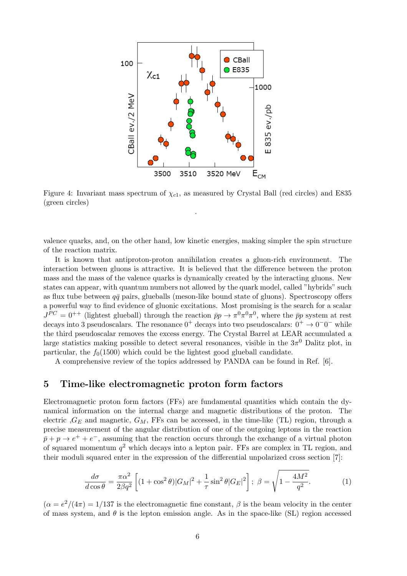

Figure 4: Invariant mass spectrum of  $\chi_{c1}$ , as measured by Crystal Ball (red circles) and E835 (green circles)

.

valence quarks, and, on the other hand, low kinetic energies, making simpler the spin structure of the reaction matrix.

It is known that antiproton-proton annihilation creates a gluon-rich environment. The interaction between gluons is attractive. It is believed that the difference between the proton mass and the mass of the valence quarks is dynamically created by the interacting gluons. New states can appear, with quantum numbers not allowed by the quark model, called "hybrids" such as flux tube between  $q\bar{q}$  pairs, glueballs (meson-like bound state of gluons). Spectroscopy offers a powerful way to find evidence of gluonic excitations. Most promising is the search for a scalar  $J^{PC} = 0^{++}$  (lightest glueball) through the reaction  $\bar{p}p \to \pi^0 \pi^0 \pi^0$ , where the  $\bar{p}p$  system at rest decays into 3 pseudoscalars. The resonance  $0^+$  decays into two pseudoscalars:  $0^+ \rightarrow 0^-0^-$  while the third pseudoscalar removes the excess energy. The Crystal Barrel at LEAR accumulated a large statistics making possible to detect several resonances, visible in the  $3\pi^0$  Dalitz plot, in particular, the  $f_0(1500)$  which could be the lightest good glueball candidate.

A comprehensive review of the topics addressed by PANDA can be found in Ref. [6].

#### 5 Time-like electromagnetic proton form factors

Electromagnetic proton form factors (FFs) are fundamental quantities which contain the dynamical information on the internal charge and magnetic distributions of the proton. The electric  $G_E$  and magnetic,  $G_M$ , FFs can be accessed, in the time-like (TL) region, through a precise measurement of the angular distribution of one of the outgoing leptons in the reaction  $\bar{p}$  + p  $\rightarrow e^+ + e^-$ , assuming that the reaction occurs through the exchange of a virtual photon of squared momentum  $q^2$  which decays into a lepton pair. FFs are complex in TL region, and their moduli squared enter in the expression of the differential unpolarized cross section [7]:

$$
\frac{d\sigma}{d\cos\theta} = \frac{\pi\alpha^2}{2\beta q^2} \left[ (1 + \cos^2\theta)|G_M|^2 + \frac{1}{\tau}\sin^2\theta|G_E|^2 \right]; \ \beta = \sqrt{1 - \frac{4M^2}{q^2}}.
$$
 (1)

 $(\alpha = e^2/(4\pi) = 1/137$  is the electromagnetic fine constant,  $\beta$  is the beam velocity in the center of mass system, and  $\theta$  is the lepton emission angle. As in the space-like (SL) region accessed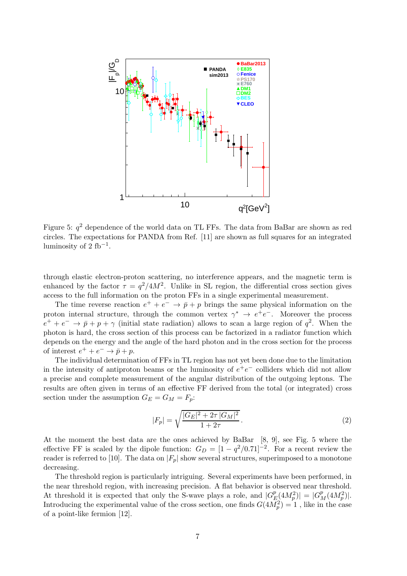

Figure 5:  $q^2$  dependence of the world data on TL FFs. The data from BaBar are shown as red circles. The expectations for PANDA from Ref. [11] are shown as full squares for an integrated luminosity of  $2$  fb<sup>-1</sup>.

through elastic electron-proton scattering, no interference appears, and the magnetic term is enhanced by the factor  $\tau = q^2/4M^2$ . Unlike in SL region, the differential cross section gives access to the full information on the proton FFs in a single experimental measurement.

The time reverse reaction  $e^+ + e^- \rightarrow \bar{p} + p$  brings the same physical information on the proton internal structure, through the common vertex  $\gamma^* \to e^+e^-$ . Moreover the process  $e^+ + e^- \rightarrow \bar{p} + p + \gamma$  (initial state radiation) allows to scan a large region of  $q^2$ . When the photon is hard, the cross section of this process can be factorized in a radiator function which depends on the energy and the angle of the hard photon and in the cross section for the process of interest  $e^+ + e^- \rightarrow \bar{p} + p$ .

The individual determination of FFs in TL region has not yet been done due to the limitation in the intensity of antiproton beams or the luminosity of  $e^+e^-$  colliders which did not allow a precise and complete measurement of the angular distribution of the outgoing leptons. The results are often given in terms of an effective FF derived from the total (or integrated) cross section under the assumption  $G_E = G_M = F_p$ :

$$
|F_p| = \sqrt{\frac{|G_E|^2 + 2\tau |G_M|^2}{1 + 2\tau}}.
$$
\n(2)

At the moment the best data are the ones achieved by BaBar [8, 9], see Fig. 5 where the effective FF is scaled by the dipole function:  $G_D = [1 - q^2/0.71]^{-2}$ . For a recent review the reader is referred to [10]. The data on  $|F_p|$  show several structures, superimposed to a monotone decreasing.

The threshold region is particularly intriguing. Several experiments have been performed, in the near threshold region, with increasing precision. A flat behavior is observed near threshold. At threshold it is expected that only the S-wave plays a role, and  $|G_F^p|$  $\mathbb{E}[4M_p^2] = |G_M^p(4M_p^2)|.$ Introducing the experimental value of the cross section, one finds  $G(4\tilde{M}_{p}^{2}) = 1$ , like in the case of a point-like fermion [12].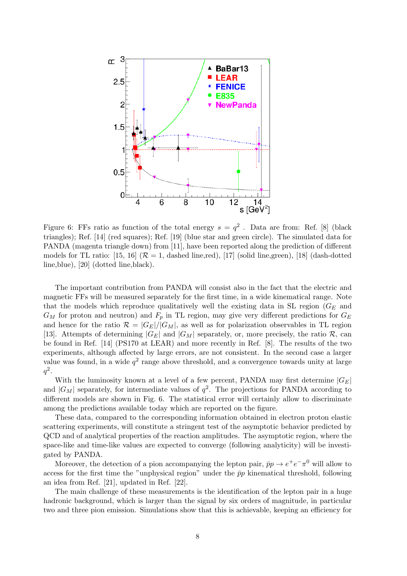

Figure 6: FFs ratio as function of the total energy  $s = q^2$ . Data are from: Ref. [8] (black triangles); Ref. [14] (red squares); Ref. [19] (blue star and green circle). The simulated data for PANDA (magenta triangle down) from [11], have been reported along the prediction of different models for TL ratio: [15, 16]  $(R = 1,$  dashed line,red), [17] (solid line,green), [18] (dash-dotted line,blue), [20] (dotted line,black).

The important contribution from PANDA will consist also in the fact that the electric and magnetic FFs will be measured separately for the first time, in a wide kinematical range. Note that the models which reproduce qualitatively well the existing data in SL region  $(G_E$  and  $G_M$  for proton and neutron) and  $F_p$  in TL region, may give very different predictions for  $G_E$ and hence for the ratio  $\mathcal{R} = |G_E|/|G_M|$ , as well as for polarization observables in TL region [13]. Attempts of determining  $|G_E|$  and  $|G_M|$  separately, or, more precisely, the ratio  $\mathcal{R}$ , can be found in Ref. [14] (PS170 at LEAR) and more recently in Ref. [8]. The results of the two experiments, although affected by large errors, are not consistent. In the second case a larger value was found, in a wide  $q^2$  range above threshold, and a convergence towards unity at large  $q^2$ .

With the luminosity known at a level of a few percent, PANDA may first determine  $|G_E|$ and  $|G_M|$  separately, for intermediate values of  $q^2$ . The projections for PANDA according to different models are shown in Fig. 6. The statistical error will certainly allow to discriminate among the predictions available today which are reported on the figure.

These data, compared to the corresponding information obtained in electron proton elastic scattering experiments, will constitute a stringent test of the asymptotic behavior predicted by QCD and of analytical properties of the reaction amplitudes. The asymptotic region, where the space-like and time-like values are expected to converge (following analyticity) will be investigated by PANDA.

Moreover, the detection of a pion accompanying the lepton pair,  $\bar{p}p \to e^+e^-\pi^0$  will allow to access for the first time the "unphysical region" under the  $\bar{p}p$  kinematical threshold, following an idea from Ref. [21], updated in Ref. [22].

The main challenge of these measurements is the identification of the lepton pair in a huge hadronic background, which is larger than the signal by six orders of magnitude, in particular two and three pion emission. Simulations show that this is achievable, keeping an efficiency for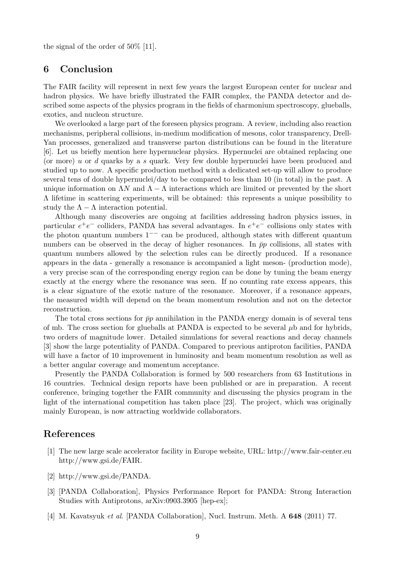the signal of the order of 50% [11].

## 6 Conclusion

The FAIR facility will represent in next few years the largest European center for nuclear and hadron physics. We have briefly illustrated the FAIR complex, the PANDA detector and described some aspects of the physics program in the fields of charmonium spectroscopy, glueballs, exotics, and nucleon structure.

We overlooked a large part of the foreseen physics program. A review, including also reaction mechanisms, peripheral collisions, in-medium modification of mesons, color transparency, Drell-Yan processes, generalized and transverse parton distributions can be found in the literature [6]. Let us briefly mention here hypernuclear physics. Hypernuclei are obtained replacing one (or more) u or d quarks by a s quark. Very few double hypernuclei have been produced and studied up to now. A specific production method with a dedicated set-up will allow to produce several tens of double hypernuclei/day to be compared to less than 10 (in total) in the past. A unique information on  $\Lambda N$  and  $\Lambda - \Lambda$  interactions which are limited or prevented by the short  $\Lambda$  lifetime in scattering experiments, will be obtained: this represents a unique possibility to study the  $\Lambda - \Lambda$  interaction potential.

Although many discoveries are ongoing at facilities addressing hadron physics issues, in particular  $e^+e^-$  colliders, PANDA has several advantages. In  $e^+e^-$  collisions only states with the photon quantum numbers 1−− can be produced, although states with different quantum numbers can be observed in the decay of higher resonances. In  $\bar{p}p$  collisions, all states with quantum numbers allowed by the selection rules can be directly produced. If a resonance appears in the data - generally a resonance is accompanied a light meson- (production mode), a very precise scan of the corresponding energy region can be done by tuning the beam energy exactly at the energy where the resonance was seen. If no counting rate excess appears, this is a clear signature of the exotic nature of the resonance. Moreover, if a resonance appears, the measured width will depend on the beam momentum resolution and not on the detector reconstruction.

The total cross sections for  $\bar{p}p$  annihilation in the PANDA energy domain is of several tens of mb. The cross section for glueballs at PANDA is expected to be several  $\mu$ b and for hybrids, two orders of magnitude lower. Detailed simulations for several reactions and decay channels [3] show the large potentiality of PANDA. Compared to previous antiproton facilities, PANDA will have a factor of 10 improvement in luminosity and beam momentum resolution as well as a better angular coverage and momentum acceptance.

Presently the PANDA Collaboration is formed by 500 researchers from 63 Institutions in 16 countries. Technical design reports have been published or are in preparation. A recent conference, bringing together the FAIR community and discussing the physics program in the light of the international competition has taken place [23]. The project, which was originally mainly European, is now attracting worldwide collaborators.

# References

- [1] The new large scale accelerator facility in Europe website, URL: http://www.fair-center.eu http://www.gsi.de/FAIR.
- [2] http://www.gsi.de/PANDA.
- [3] [PANDA Collaboration], Physics Performance Report for PANDA: Strong Interaction Studies with Antiprotons, arXiv:0903.3905 [hep-ex];
- [4] M. Kavatsyuk et al. [PANDA Collaboration], Nucl. Instrum. Meth. A 648 (2011) 77.